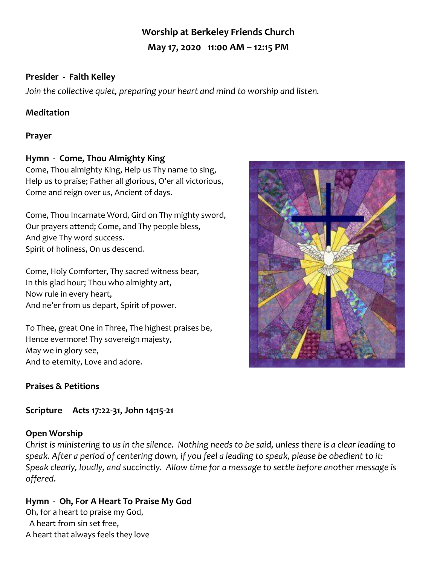# **Worship at Berkeley Friends Church May 17, 2020 11:00 AM – 12:15 PM**

## **Presider - Faith Kelley**

*Join the collective quiet, preparing your heart and mind to worship and listen.*

## **Meditation**

#### **Prayer**

## **Hymn - Come, Thou Almighty King**

Come, Thou almighty King, Help us Thy name to sing, Help us to praise; Father all glorious, O'er all victorious, Come and reign over us, Ancient of days.

Come, Thou Incarnate Word, Gird on Thy mighty sword, Our prayers attend; Come, and Thy people bless, And give Thy word success. Spirit of holiness, On us descend.

Come, Holy Comforter, Thy sacred witness bear, In this glad hour; Thou who almighty art, Now rule in every heart, And ne'er from us depart, Spirit of power.

To Thee, great One in Three, The highest praises be, Hence evermore! Thy sovereign majesty, May we in glory see, And to eternity, Love and adore.

# **Praises & Petitions**

# **Scripture Acts 17:22-31, John 14:15-21**

#### **Open Worship**

*Christ is ministering to us in the silence. Nothing needs to be said, unless there is a clear leading to speak. After a period of centering down, if you feel a leading to speak, please be obedient to it: Speak clearly, loudly, and succinctly. Allow time for a message to settle before another message is offered.*

# **Hymn - Oh, For A Heart To Praise My God**

Oh, for a heart to praise my God, A heart from sin set free, A heart that always feels they love

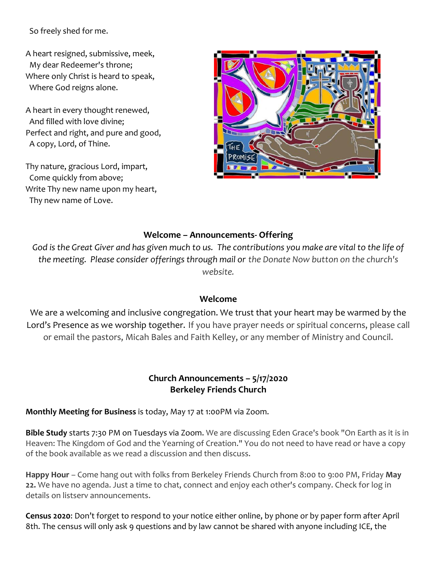So freely shed for me.

A heart resigned, submissive, meek, My dear Redeemer's throne; Where only Christ is heard to speak, Where God reigns alone.

A heart in every thought renewed, And filled with love divine; Perfect and right, and pure and good, A copy, Lord, of Thine.

Thy nature, gracious Lord, impart, Come quickly from above; Write Thy new name upon my heart, Thy new name of Love.



#### **Welcome – Announcements- Offering**

*God is the Great Giver and has given much to us. The contributions you make are vital to the life of the meeting. Please consider offerings through mail or the Donate Now button on the church's website.*

#### **Welcome**

We are a welcoming and inclusive congregation. We trust that your heart may be warmed by the Lord's Presence as we worship together. If you have prayer needs or spiritual concerns, please call or email the pastors, Micah Bales and Faith Kelley, or any member of Ministry and Council.

#### **Church Announcements – 5/17/2020 Berkeley Friends Church**

**Monthly Meeting for Business** is today, May 17 at 1:00PM via Zoom.

**Bible Study** starts 7:30 PM on Tuesdays via Zoom. We are discussing Eden Grace's book "On Earth as it is in Heaven: The Kingdom of God and the Yearning of Creation." You do not need to have read or have a copy of the book available as we read a discussion and then discuss.

**Happy Hour** – Come hang out with folks from Berkeley Friends Church from 8:00 to 9:00 PM, Friday **May 22.** We have no agenda. Just a time to chat, connect and enjoy each other's company. Check for log in details on listserv announcements.

**Census 2020**: Don't forget to respond to your notice either online, by phone or by paper form after April 8th. The census will only ask 9 questions and by law cannot be shared with anyone including ICE, the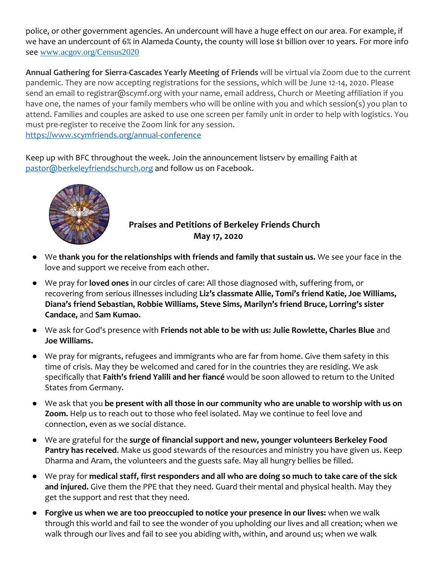police, or other government agencies. An undercount will have a huge effect on our area. For example, if we have an undercount of 6% in Alameda County, the county will lose \$1 billion over 10 years. For more info see [www.acgov.org/Census2020](http://www.acgov.org/Census2020)

**Annual Gathering for Sierra-Cascades Yearly Meeting of Friends** will be virtual via Zoom due to the current pandemic. They are now accepting registrations for the sessions, which will be June 12-14, 2020. Please send an email to registrar@scymf.org with your name, email address, Church or Meeting affiliation if you have one, the names of your family members who will be online with you and which session(s) you plan to attend. Families and couples are asked to use one screen per family unit in order to help with logistics. You must pre-register to receive the Zoom link for any session. <https://www.scymfriends.org/annual-conference>

Keep up with BFC throughout the week. Join the announcement listserv by emailing Faith at [pastor@berkeleyfriendschurch.org](mailto:pastor@berkeleyfriendschurch.org) and follow us on Facebook.



# **Praises and Petitions of Berkeley Friends Church May 17, 2020**

- We **thank you for the relationships with friends and family that sustain us.** We see your face in the love and support we receive from each other.
- We pray for **loved ones** in our circles of care: All those diagnosed with, suffering from, or recovering from serious illnesses including **Liz's classmate Allie, Tomi's friend Katie, Joe Williams, Diana's friend Sebastian, Robbie Williams, Steve Sims, Marilyn's friend Bruce, Lorring's sister Candace,** and **Sam Kumao.**
- We ask for God's presence with **Friends not able to be with us: Julie Rowlette, Charles Blue** and **Joe Williams.**
- We pray for migrants, refugees and immigrants who are far from home. Give them safety in this time of crisis. May they be welcomed and cared for in the countries they are residing. We ask specifically that **Faith's friend Yalili and her fiancé** would be soon allowed to return to the United States from Germany.
- We ask that you **be present with all those in our community who are unable to worship with us on Zoom.** Help us to reach out to those who feel isolated. May we continue to feel love and connection, even as we social distance.
- We are grateful for the **surge of financial support and new, younger volunteers Berkeley Food Pantry has received**. Make us good stewards of the resources and ministry you have given us. Keep Dharma and Aram, the volunteers and the guests safe. May all hungry bellies be filled.
- We pray for **medical staff, first responders and all who are doing so much to take care of the sick and injured.** Give them the PPE that they need. Guard their mental and physical health. May they get the support and rest that they need.
- Forgive us when we are too preoccupied to notice your presence in our lives: when we walk through this world and fail to see the wonder of you upholding our lives and all creation; when we walk through our lives and fail to see you abiding with, within, and around us; when we walk